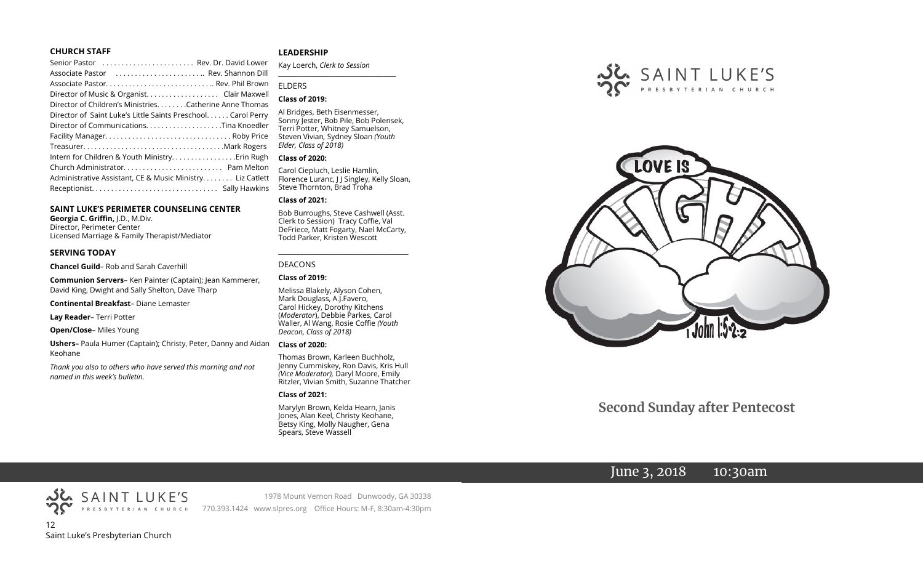#### **CHURCH STAFF**

| Senior Pastor (etc Rev. Dr. David Lower                                                                        |  |
|----------------------------------------------------------------------------------------------------------------|--|
| Associate Pastor (Associate Pastor (Associate Pastor (Associate Pastor (Associate Pastor (Association Associat |  |
| Associate Pastor Rev. Phil Brown                                                                               |  |
| Director of Music & Organist. Clair Maxwell                                                                    |  |
| Director of Children's Ministries. Catherine Anne Thomas                                                       |  |
| Director of Saint Luke's Little Saints Preschool Carol Perry                                                   |  |
| Director of CommunicationsTina Knoedler                                                                        |  |
|                                                                                                                |  |
|                                                                                                                |  |
| Intern for Children & Youth Ministry Erin Rugh                                                                 |  |
|                                                                                                                |  |
| Administrative Assistant, CE & Music Ministry Liz Catlett                                                      |  |
|                                                                                                                |  |
|                                                                                                                |  |

#### **SAINT LUKE'S PERIMETER COUNSELING CENTER**

**Georgia C. Griffin,** J.D., M.Div. Director, Perimeter Center Licensed Marriage & Family Therapist/Mediator

#### **SERVING TODAY**

**Chancel Guild**– Rob and Sarah Caverhill

**Communion Servers**– Ken Painter (Captain); Jean Kammerer, David King, Dwight and Sally Shelton, Dave Tharp

**Continental Breakfast**– Diane Lemaster

**Lay Reader**– Terri Potter

**Open/Close**– Miles Young

**Ushers–** Paula Humer (Captain); Christy, Peter, Danny and Aidan Keohane

*Thank you also to others who have served this morning and not named in this week's bulletin.*

#### **LEADERSHIP**

Kay Loerch, *Clerk to Session*  **\_\_\_\_\_\_\_\_\_\_\_\_\_\_\_\_\_\_\_\_\_\_\_\_\_\_\_\_\_\_\_\_\_\_\_\_\_\_\_**

#### ELDERS

#### **Class of 2019:**

Al Bridges, Beth Eisenmesser, Sonny Jester, Bob Pile, Bob Polensek, Terri Potter, Whitney Samuelson, Steven Vivian*,* Sydney Sloan *(Youth Elder, Class of 2018)*

#### **Class of 2020:**

Carol Ciepluch, Leslie Hamlin, Florence Luranc, J J Singley, Kelly Sloan, Steve Thornton, Brad Troha

#### **Class of 2021:**

Bob Burroughs, Steve Cashwell (Asst. Clerk to Session) Tracy Coffie, Val DeFriece, Matt Fogarty, Nael McCarty, Todd Parker, Kristen Wescott

\_\_\_\_\_\_\_\_\_\_\_\_\_\_\_\_\_\_\_\_\_\_\_\_\_\_\_\_\_\_\_\_\_\_\_\_

#### DEACONS

#### **Class of 2019:**

Melissa Blakely, Alyson Cohen, Mark Douglass, A.J.Favero, Carol Hickey, Dorothy Kitchens (*Moderator*), Debbie Parkes, Carol Waller, Al Wang, Rosie Coffie *(Youth Deacon, Class of 2018)* 

#### **Class of 2020:**

Thomas Brown, Karleen Buchholz, Jenny Cummiskey, Ron Davis, Kris Hull *(Vice Moderator),* Daryl Moore, Emily Ritzler, Vivian Smith, Suzanne Thatcher

#### **Class of 2021:**

Marylyn Brown, Kelda Hearn, Janis Jones, Alan Keel, Christy Keohane, Betsy King, Molly Naugher, Gena Spears, Steve Wassell





# **Second Sunday after Pentecost**

# June 3, 2018 10:30am



1978 Mount Vernon Road Dunwoody, GA 30338 770.393.1424 www.slpres.org Office Hours: M-F, 8:30am-4:30pm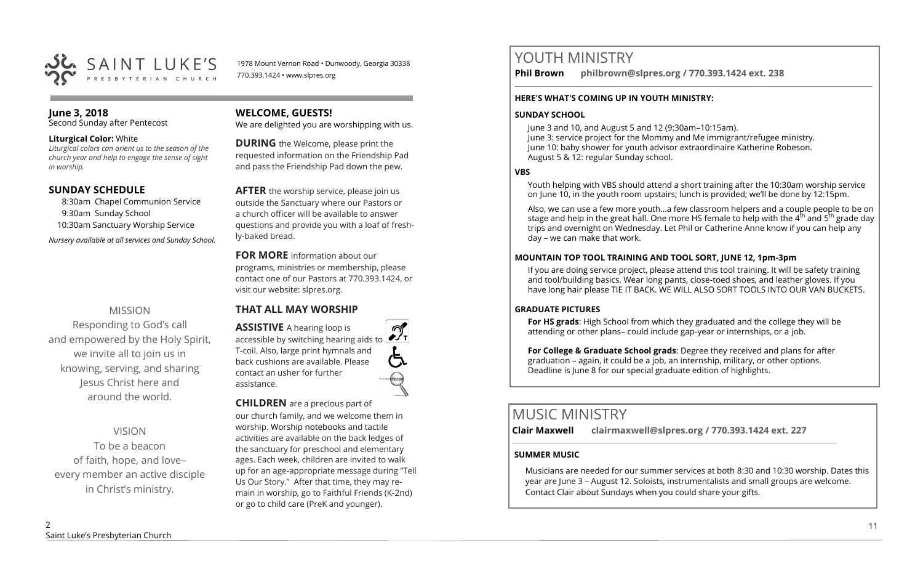

1978 Mount Vernon Road • Dunwoody, Georgia 30338 770.393.1424 • www.slpres.org

#### **June 3, 2018**  Second Sunday after Pentecost

#### **Liturgical Color:** White

*Liturgical colors can orient us to the season of the church year and help to engage the sense of sight in worship.* 

## **SUNDAY SCHEDULE**

8:30am Chapel Communion Service 9:30am Sunday School 10:30am Sanctuary Worship Service *Nursery available at all services and Sunday School.* 

# MISSION

Responding to God's call and empowered by the Holy Spirit, we invite all to join us in knowing, serving, and sharing Jesus Christ here and around the world.

# VISION

To be a beacon of faith, hope, and love– every member an active disciple in Christ's ministry.

# **WELCOME, GUESTS!**

We are delighted you are worshipping with us.

**DURING** the Welcome, please print the requested information on the Friendship Pad and pass the Friendship Pad down the pew.

**AFTER** the worship service, please join us outside the Sanctuary where our Pastors or a church officer will be available to answer questions and provide you with a loaf of freshly-baked bread.

**FOR MORE** information about our programs, ministries or membership, please contact one of our Pastors at 770.393.1424, or visit our website: slpres.org.

# **THAT ALL MAY WORSHIP**

**ASSISTIVE** A hearing loop is  $\mathcal{D}_{\mathbf{r}}$ accessible by switching hearing aids to T-coil. Also, large print hymnals and back cushions are available. Please contact an usher for further assistance.

#### **CHILDREN** are a precious part of our church family, and we welcome them in

worship. Worship notebooks and tactile activities are available on the back ledges of the sanctuary for preschool and elementary ages. Each week, children are invited to walk up for an age-appropriate message during "Tell Us Our Story." After that time, they may remain in worship, go to Faithful Friends (K-2nd) or go to child care (PreK and younger).

# YOUTH MINISTRY

**Phil Brown philbrown@slpres.org / 770.393.1424 ext. 238**   $\_$  ,  $\_$  ,  $\_$  ,  $\_$  ,  $\_$  ,  $\_$  ,  $\_$  ,  $\_$  ,  $\_$  ,  $\_$  ,  $\_$  ,  $\_$  ,  $\_$  ,  $\_$  ,  $\_$  ,  $\_$  ,  $\_$  ,  $\_$  ,  $\_$  ,  $\_$ 

#### **HERE'S WHAT'S COMING UP IN YOUTH MINISTRY:**

## **SUNDAY SCHOOL**

June 3 and 10, and August 5 and 12 (9:30am–10:15am). June 3: service project for the Mommy and Me immigrant/refugee ministry. June 10: baby shower for youth advisor extraordinaire Katherine Robeson. August 5 & 12: regular Sunday school.

## **VBS**

Youth helping with VBS should attend a short training after the 10:30am worship service on June 10, in the youth room upstairs; lunch is provided; we'll be done by 12:15pm.

Also, we can use a few more youth…a few classroom helpers and a couple people to be on stage and help in the great hall. One more HS female to help with the  $4<sup>th</sup>$  and  $5<sup>th</sup>$  grade day trips and overnight on Wednesday. Let Phil or Catherine Anne know if you can help any day – we can make that work.

## **MOUNTAIN TOP TOOL TRAINING AND TOOL SORT, JUNE 12, 1pm-3pm**

If you are doing service project, please attend this tool training. It will be safety training and tool/building basics. Wear long pants, close-toed shoes, and leather gloves. If you have long hair please TIE IT BACK. WE WILL ALSO SORT TOOLS INTO OUR VAN BUCKETS.

## **GRADUATE PICTURES**

**For HS grads**: High School from which they graduated and the college they will be attending or other plans– could include gap-year or internships, or a job.

**For College & Graduate School grads**: Degree they received and plans for after graduation – again, it could be a job, an internship, military, or other options. Deadline is June 8 for our special graduate edition of highlights.

# MUSIC MINISTRY

**Clair Maxwell clairmaxwell@slpres.org / 770.393.1424 ext. 227**   $\_$  ,  $\_$  ,  $\_$  ,  $\_$  ,  $\_$  ,  $\_$  ,  $\_$  ,  $\_$  ,  $\_$  ,  $\_$  ,  $\_$  ,  $\_$  ,  $\_$  ,  $\_$  ,  $\_$  ,  $\_$  ,  $\_$  ,  $\_$ 

# **SUMMER MUSIC**

Musicians are needed for our summer services at both 8:30 and 10:30 worship. Dates this year are June 3 – August 12. Soloists, instrumentalists and small groups are welcome. Contact Clair about Sundays when you could share your gifts.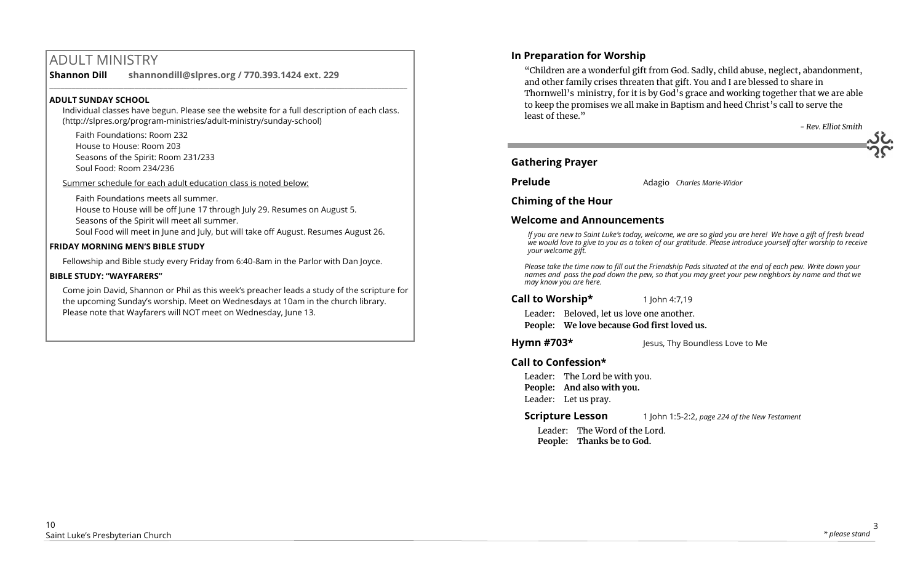# ADULT MINISTRY

**Shannon Dill shannondill@slpres.org / 770.393.1424 ext. 229**   $\_$  ,  $\_$  ,  $\_$  ,  $\_$  ,  $\_$  ,  $\_$  ,  $\_$  ,  $\_$  ,  $\_$  ,  $\_$  ,  $\_$  ,  $\_$  ,  $\_$  ,  $\_$  ,  $\_$  ,  $\_$  ,  $\_$  ,  $\_$  ,  $\_$ 

#### **ADULT SUNDAY SCHOOL**

Individual classes have begun. Please see the website for a full description of each class. (http://slpres.org/program-ministries/adult-ministry/sunday-school)

Faith Foundations: Room 232 House to House: Room 203 Seasons of the Spirit: Room 231/233 Soul Food: Room 234/236

Summer schedule for each adult education class is noted below:

Faith Foundations meets all summer.

House to House will be off June 17 through July 29. Resumes on August 5.

Seasons of the Spirit will meet all summer.

Soul Food will meet in June and July, but will take off August. Resumes August 26.

#### **FRIDAY MORNING MEN'S BIBLE STUDY**

Fellowship and Bible study every Friday from 6:40-8am in the Parlor with Dan Joyce.

#### **BIBLE STUDY: "WAYFARERS"**

Come join David, Shannon or Phil as this week's preacher leads a study of the scripture for the upcoming Sunday's worship. Meet on Wednesdays at 10am in the church library. Please note that Wayfarers will NOT meet on Wednesday, June 13.

# **In Preparation for Worship**

"Children are a wonderful gift from God. Sadly, child abuse, neglect, abandonment, and other family crises threaten that gift. You and I are blessed to share in Thornwell's ministry, for it is by God's grace and working together that we are able to keep the promises we all make in Baptism and heed Christ's call to serve the least of these."

*- Rev. Elliot Smith*

#### **Gathering Prayer**

**Prelude** Adagio *Charles Marie-Widor*

**Chiming of the Hour**

## **Welcome and Announcements**

*If you are new to Saint Luke's today, welcome, we are so glad you are here! We have a gift of fresh bread we would love to give to you as a token of our gratitude. Please introduce yourself after worship to receive your welcome gift.*

*Please take the time now to fill out the Friendship Pads situated at the end of each pew. Write down your names and pass the pad down the pew, so that you may greet your pew neighbors by name and that we may know you are here.*

**Call to Worship\*** 1 John 4:7,19

Leader: Beloved, let us love one another. **People: We love because God first loved us.**

**Hymn #703\*** Jesus, Thy Boundless Love to Me

# **Call to Confession\***

Leader: The Lord be with you. **People: And also with you.** Leader: Let us pray.

**Scripture Lesson** 1 John 1:5-2:2, *page 224 of the New Testament* 

Leader: The Word of the Lord. **People: Thanks be to God.**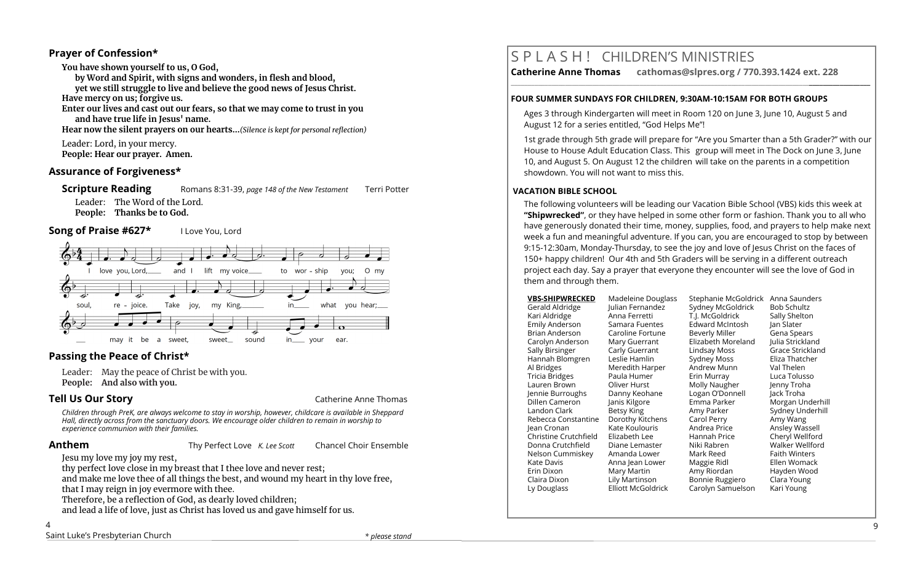## **Prayer of Confession\***

**You have shown yourself to us, O God, by Word and Spirit, with signs and wonders, in flesh and blood, yet we still struggle to live and believe the good news of Jesus Christ. Have mercy on us; forgive us. Enter our lives and cast out our fears, so that we may come to trust in you and have true life in Jesus' name. Hear now the silent prayers on our hearts...***(Silence is kept for personal reflection)* Leader: Lord, in your mercy. **People: Hear our prayer. Amen.**

## **Assurance of Forgiveness\***

**Scripture Reading Romans 8:31-39,** *page 148 of the New Testament* **Terri Potter** 

Leader: The Word of the Lord. **People: Thanks be to God.**

**Song of Praise #627\*** I Love You, Lord



# **Passing the Peace of Christ\***

Leader: May the peace of Christ be with you. **People: And also with you.** 

**Tell Us Our Story Catherine Anne Thomas Catherine Anne Thomas Catherine Anne Thomas** 

*Children through PreK, are always welcome to stay in worship, however, childcare is available in Sheppard Hall, directly across from the sanctuary doors. We encourage older children to remain in worship to experience communion with their families.*

**Anthem** Thy Perfect Love *K. Lee Scott* Chancel Choir Ensemble

Jesu my love my joy my rest,

thy perfect love close in my breast that I thee love and never rest;

and make me love thee of all things the best, and wound my heart in thy love free, that I may reign in joy evermore with thee.

Therefore, be a reflection of God, as dearly loved children;

and lead a life of love, just as Christ has loved us and gave himself for us.

#### 4

# S P L A S H ! CHILDREN'S MINISTRIES

**Catherine Anne Thomas cathomas@slpres.org / 770.393.1424 ext. 228 \_\_\_\_\_\_\_\_\_\_\_\_\_\_\_\_\_\_\_\_\_\_\_\_\_\_\_\_\_\_\_\_\_\_\_\_\_\_\_\_\_\_\_\_\_\_\_\_\_\_\_\_\_\_\_\_\_\_\_\_\_\_\_\_\_\_\_\_\_\_\_\_\_\_\_\_\_\_\_\_\_\_\_\_\_\_\_\_\_\_\_\_\_\_\_\_\_\_\_\_\_\_\_\_\_\_** 

#### **FOUR SUMMER SUNDAYS FOR CHILDREN, 9:30AM-10:15AM FOR BOTH GROUPS**

Ages 3 through Kindergarten will meet in Room 120 on June 3, June 10, August 5 and August 12 for a series entitled, "God Helps Me"!

1st grade through 5th grade will prepare for "Are you Smarter than a 5th Grader?" with our House to House Adult Education Class. This group will meet in The Dock on June 3, June 10, and August 5. On August 12 the children will take on the parents in a competition showdown. You will not want to miss this.

#### **VACATION BIBLE SCHOOL**

The following volunteers will be leading our Vacation Bible School (VBS) kids this week at **"Shipwrecked"**, or they have helped in some other form or fashion. Thank you to all who have generously donated their time, money, supplies, food, and prayers to help make next week a fun and meaningful adventure. If you can, you are encouraged to stop by between 9:15-12:30am, Monday-Thursday, to see the joy and love of Jesus Christ on the faces of 150+ happy children! Our 4th and 5th Graders will be serving in a different outreach project each day. Say a prayer that everyone they encounter will see the love of God in them and through them.

| <b>VBS-SHIPWRECKED</b> | Madeleine Douglass        | Stephanie McGoldrick   | Anna Saunders        |
|------------------------|---------------------------|------------------------|----------------------|
| Gerald Aldridge        | Julian Fernandez          | Sydney McGoldrick      | <b>Bob Schultz</b>   |
| Kari Aldridge          | Anna Ferretti             | T.J. McGoldrick        | Sally Shelton        |
| Emily Anderson         | Samara Fuentes            | <b>Edward McIntosh</b> | Jan Slater           |
| Brian Anderson         | Caroline Fortune          | Beverly Miller         | Gena Spears          |
| Carolyn Anderson       | Mary Guerrant             | Elizabeth Moreland     | Julia Strickland     |
| Sally Birsinger        | Carly Guerrant            | Lindsay Moss           | Grace Strickland     |
| Hannah Blomgren        | Leslie Hamlin             | Sydney Moss            | Eliza Thatcher       |
| Al Bridges             | Meredith Harper           | Andrew Munn            | Val Thelen           |
| Tricia Bridges         | Paula Humer               | Erin Murray            | Luca Tolusso         |
| Lauren Brown           | Oliver Hurst              | Molly Naugher          | Jenny Troha          |
| Jennie Burroughs       | Danny Keohane             | Logan O'Donnell        | Jack Troha           |
| Dillen Cameron         | Janis Kilgore             | Emma Parker            | Morgan Underhill     |
| Landon Clark           | Betsy King                | Amy Parker             | Sydney Underhill     |
| Rebecca Constantine    | Dorothy Kitchens          | Carol Perry            | Amy Wang             |
| lean Cronan            | Kate Koulouris            | Andrea Price           | Ansley Wassell       |
| Christine Crutchfield  | Elizabeth Lee             | Hannah Price           | Cheryl Wellford      |
| Donna Crutchfield      | Diane Lemaster            | Niki Rabren            | Walker Wellford      |
| Nelson Cummiskey       | Amanda Lower              | Mark Reed              | <b>Faith Winters</b> |
| Kate Davis             | Anna Jean Lower           | Maggie Ridl            | Ellen Womack         |
| Erin Dixon             | Mary Martin               | Amy Riordan            | Hayden Wood          |
| Claira Dixon           | Lily Martinson            | Bonnie Ruggiero        | Clara Young          |
| Ly Douglass            | <b>Elliott McGoldrick</b> | Carolyn Samuelson      | Kari Young           |
|                        |                           |                        |                      |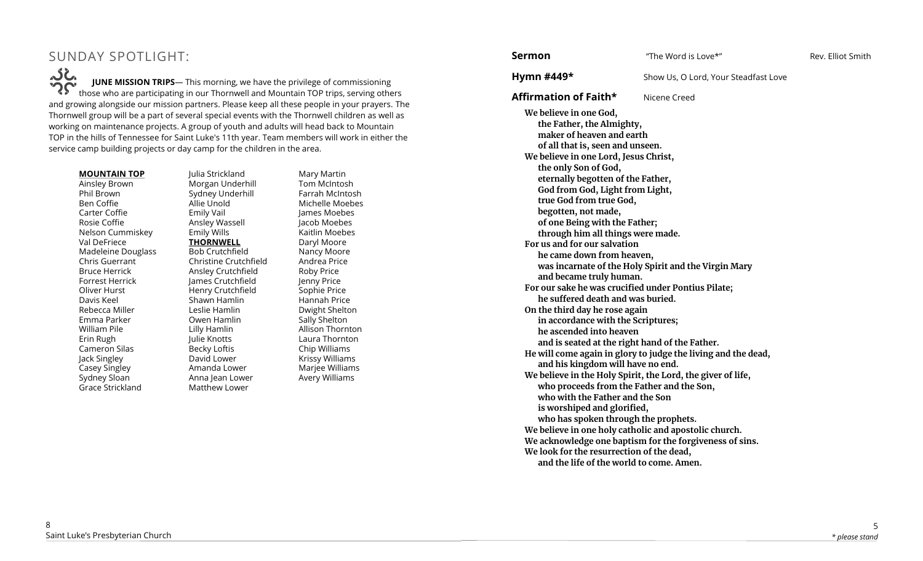# SUNDAY SPOTLIGHT:

SC. **JUNE MISSION TRIPS**— This morning, we have the privilege of commissioning those who are participating in our Thornwell and Mountain TOP trips, serving others and growing alongside our mission partners. Please keep all these people in your prayers. The Thornwell group will be a part of several special events with the Thornwell children as well as working on maintenance projects. A group of youth and adults will head back to Mountain TOP in the hills of Tennessee for Saint Luke's 11th year. Team members will work in either the service camp building projects or day camp for the children in the area.

Julia Strickland

#### **MOUNTAIN TOP**

Ainsley Brown Phil Brown Ben Coffie Carter Coffie Rosie Coffie Nelson Cummiskey Val DeFriece Madeleine Douglass Chris Guerrant Bruce Herrick Forrest Herrick Oliver Hurst Davis Keel Rebecca Miller Emma Parker William Pile Erin Rugh Cameron Silas Jack Singley Casey Singley Sydney Sloan Grace Strickland

Morgan Underhill Sydney Underhill Allie Unold Emily Vail Ansley Wassell Emily Wills **THORNWELL** Bob Crutchfield Christine Crutchfield Ansley Crutchfield James Crutchfield Henry Crutchfield Shawn Hamlin Leslie Hamlin Owen Hamlin Lilly Hamlin Julie Knotts Becky Loftis David Lower Amanda Lower Anna Jean Lower Matthew Lower

Mary Martin Tom McIntosh Farrah McIntosh Michelle Moebes James Moebes Jacob Moebes Kaitlin Moebes Daryl Moore Nancy Moore Andrea Price Roby Price Jenny Price Sophie Price Hannah Price Dwight Shelton Sally Shelton Allison Thornton Laura Thornton Chip Williams Krissy Williams Marjee Williams Avery Williams

**Sermon Example 3** The Word is Love \*" Rev. Elliot Smith

**Hymn #449\*** Show Us, O Lord, Your Steadfast Love

**Affirmation of Faith\*** Nicene Creed

**We believe in one God, the Father, the Almighty, maker of heaven and earth of all that is, seen and unseen. We believe in one Lord, Jesus Christ, the only Son of God, eternally begotten of the Father, God from God, Light from Light, true God from true God, begotten, not made, of one Being with the Father; through him all things were made. For us and for our salvation he came down from heaven, was incarnate of the Holy Spirit and the Virgin Mary and became truly human. For our sake he was crucified under Pontius Pilate; he suffered death and was buried. On the third day he rose again in accordance with the Scriptures; he ascended into heaven and is seated at the right hand of the Father. He will come again in glory to judge the living and the dead, and his kingdom will have no end. We believe in the Holy Spirit, the Lord, the giver of life, who proceeds from the Father and the Son, who with the Father and the Son is worshiped and glorified, who has spoken through the prophets. We believe in one holy catholic and apostolic church. We acknowledge one baptism for the forgiveness of sins. We look for the resurrection of the dead, and the life of the world to come. Amen.**